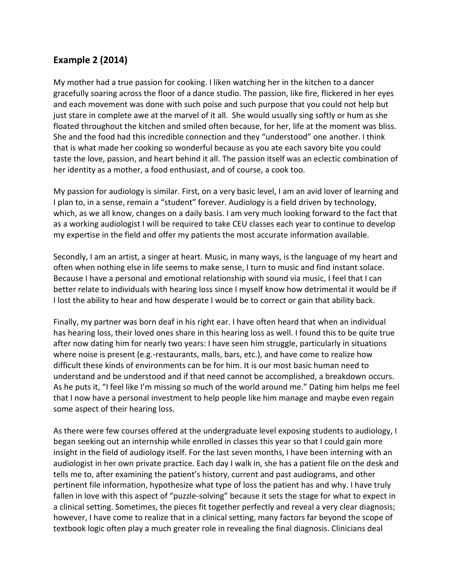## **Example 2 (2014)**

My mother had a true passion for cooking. I liken watching her in the kitchen to a dancer gracefully soaring across the floor of a dance studio. The passion, like fire, flickered in her eyes and each movement was done with such poise and such purpose that you could not help but just stare in complete awe at the marvel of it all. She would usually sing softly or hum as she floated throughout the kitchen and smiled often because, for her, life at the moment was bliss. She and the food had this incredible connection and they "understood" one another. I think that is what made her cooking so wonderful because as you ate each savory bite you could taste the love, passion, and heart behind it all. The passion itself was an eclectic combination of her identity as a mother, a food enthusiast, and of course, a cook too.

My passion for audiology is similar. First, on a very basic level, I am an avid lover of learning and I plan to, in a sense, remain a "student" forever. Audiology is a field driven by technology, which, as we all know, changes on a daily basis. I am very much looking forward to the fact that as a working audiologist I will be required to take CEU classes each year to continue to develop my expertise in the field and offer my patients the most accurate information available.

Secondly, I am an artist, a singer at heart. Music, in many ways, is the language of my heart and often when nothing else in life seems to make sense, I turn to music and find instant solace. Because I have a personal and emotional relationship with sound via music, I feel that I can better relate to individuals with hearing loss since I myself know how detrimental it would be if I lost the ability to hear and how desperate I would be to correct or gain that ability back.

Finally, my partner was born deaf in his right ear. I have often heard that when an individual has hearing loss, their loved ones share in this hearing loss as well. I found this to be quite true after now dating him for nearly two years: I have seen him struggle, particularly in situations where noise is present (e.g.-restaurants, malls, bars, etc.), and have come to realize how difficult these kinds of environments can be for him. It is our most basic human need to understand and be understood and if that need cannot be accomplished, a breakdown occurs. As he puts it, "I feel like I'm missing so much of the world around me." Dating him helps me feel that I now have a personal investment to help people like him manage and maybe even regain some aspect of their hearing loss.

As there were few courses offered at the undergraduate level exposing students to audiology, I began seeking out an internship while enrolled in classes this year so that I could gain more insight in the field of audiology itself. For the last seven months, I have been interning with an audiologist in her own private practice. Each day I walk in, she has a patient file on the desk and tells me to, after examining the patient's history, current and past audiograms, and other pertinent file information, hypothesize what type of loss the patient has and why. I have truly fallen in love with this aspect of "puzzle-solving" because it sets the stage for what to expect in a clinical setting. Sometimes, the pieces fit together perfectly and reveal a very clear diagnosis; however, I have come to realize that in a clinical setting, many factors far beyond the scope of textbook logic often play a much greater role in revealing the final diagnosis. Clinicians deal